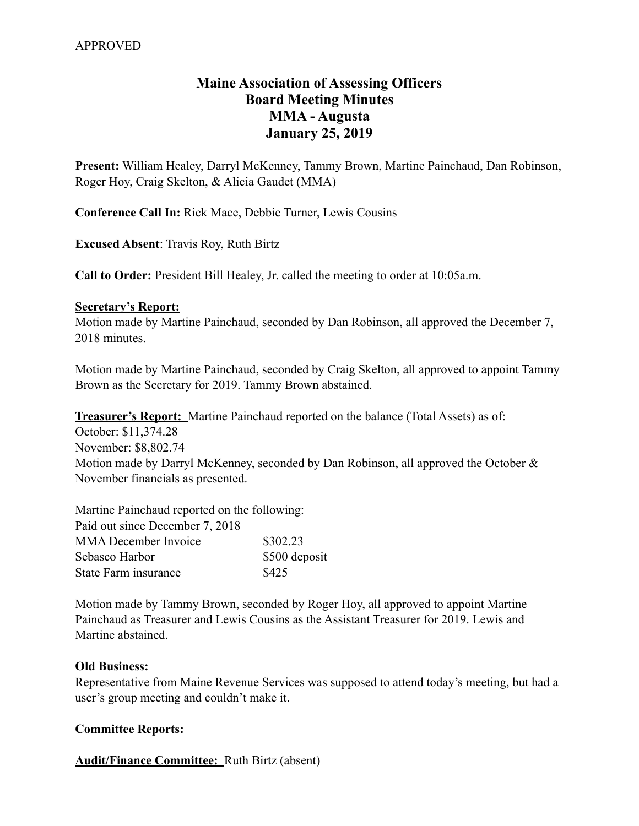# **Maine Association of Assessing Officers Board Meeting Minutes MMA - Augusta January 25, 2019**

**Present:** William Healey, Darryl McKenney, Tammy Brown, Martine Painchaud, Dan Robinson, Roger Hoy, Craig Skelton, & Alicia Gaudet (MMA)

**Conference Call In:** Rick Mace, Debbie Turner, Lewis Cousins

**Excused Absent**: Travis Roy, Ruth Birtz

**Call to Order:** President Bill Healey, Jr. called the meeting to order at 10:05a.m.

#### **Secretary's Report:**

Motion made by Martine Painchaud, seconded by Dan Robinson, all approved the December 7, 2018 minutes

Motion made by Martine Painchaud, seconded by Craig Skelton, all approved to appoint Tammy Brown as the Secretary for 2019. Tammy Brown abstained.

**Treasurer's Report:** Martine Painchaud reported on the balance (Total Assets) as of:

October: \$11,374.28 November: \$8,802.74 Motion made by Darryl McKenney, seconded by Dan Robinson, all approved the October & November financials as presented.

Martine Painchaud reported on the following: Paid out since December 7, 2018 MMA December Invoice \$302.23 Sebasco Harbor  $$500$  deposit State Farm insurance \$425

Motion made by Tammy Brown, seconded by Roger Hoy, all approved to appoint Martine Painchaud as Treasurer and Lewis Cousins as the Assistant Treasurer for 2019. Lewis and Martine abstained.

#### **Old Business:**

Representative from Maine Revenue Services was supposed to attend today's meeting, but had a user's group meeting and couldn't make it.

#### **Committee Reports:**

**Audit/Finance Committee:** Ruth Birtz (absent)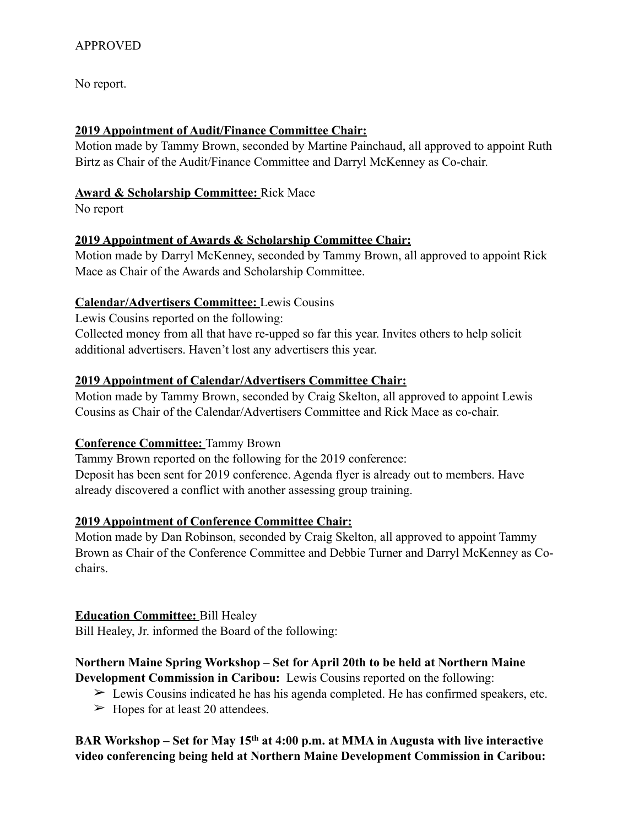No report.

### **2019 Appointment of Audit/Finance Committee Chair:**

Motion made by Tammy Brown, seconded by Martine Painchaud, all approved to appoint Ruth Birtz as Chair of the Audit/Finance Committee and Darryl McKenney as Co-chair.

### **Award & Scholarship Committee:** Rick Mace

No report

## **2019 Appointment of Awards & Scholarship Committee Chair:**

Motion made by Darryl McKenney, seconded by Tammy Brown, all approved to appoint Rick Mace as Chair of the Awards and Scholarship Committee.

### **Calendar/Advertisers Committee:** Lewis Cousins

Lewis Cousins reported on the following: Collected money from all that have re-upped so far this year. Invites others to help solicit additional advertisers. Haven't lost any advertisers this year.

## **2019 Appointment of Calendar/Advertisers Committee Chair:**

Motion made by Tammy Brown, seconded by Craig Skelton, all approved to appoint Lewis Cousins as Chair of the Calendar/Advertisers Committee and Rick Mace as co-chair.

## **Conference Committee:** Tammy Brown

Tammy Brown reported on the following for the 2019 conference: Deposit has been sent for 2019 conference. Agenda flyer is already out to members. Have already discovered a conflict with another assessing group training.

## **2019 Appointment of Conference Committee Chair:**

Motion made by Dan Robinson, seconded by Craig Skelton, all approved to appoint Tammy Brown as Chair of the Conference Committee and Debbie Turner and Darryl McKenney as Cochairs.

### **Education Committee:** Bill Healey

Bill Healey, Jr. informed the Board of the following:

### **Northern Maine Spring Workshop – Set for April 20th to be held at Northern Maine Development Commission in Caribou:** Lewis Cousins reported on the following:

- $\triangleright$  Lewis Cousins indicated he has his agenda completed. He has confirmed speakers, etc.
- $\blacktriangleright$  Hopes for at least 20 attendees.

## **BAR Workshop – Set for May 15th at 4:00 p.m. at MMA in Augusta with live interactive video conferencing being held at Northern Maine Development Commission in Caribou:**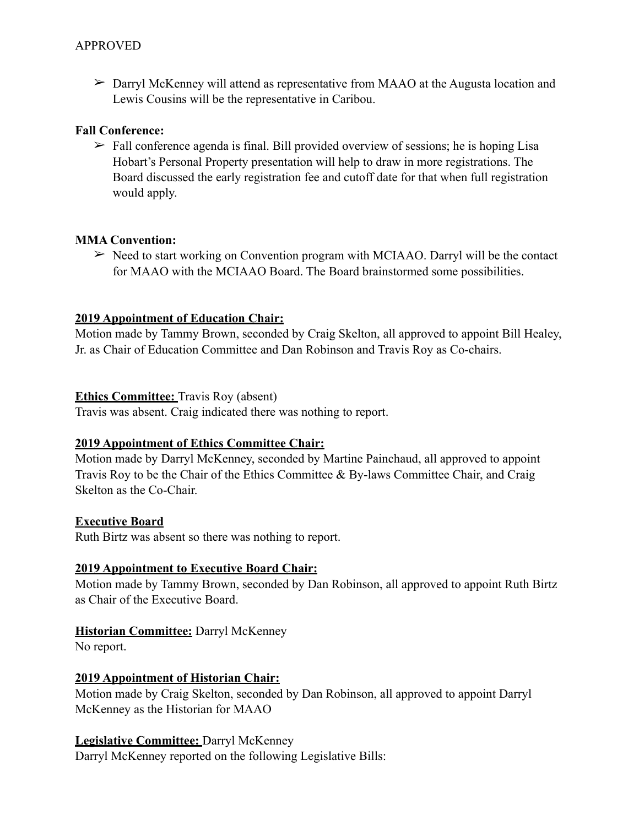➢ Darryl McKenney will attend as representative from MAAO at the Augusta location and Lewis Cousins will be the representative in Caribou.

### **Fall Conference:**

 $\triangleright$  Fall conference agenda is final. Bill provided overview of sessions; he is hoping Lisa Hobart's Personal Property presentation will help to draw in more registrations. The Board discussed the early registration fee and cutoff date for that when full registration would apply.

### **MMA Convention:**

 $\triangleright$  Need to start working on Convention program with MCIAAO. Darryl will be the contact for MAAO with the MCIAAO Board. The Board brainstormed some possibilities.

### **2019 Appointment of Education Chair:**

Motion made by Tammy Brown, seconded by Craig Skelton, all approved to appoint Bill Healey, Jr. as Chair of Education Committee and Dan Robinson and Travis Roy as Co-chairs.

### **Ethics Committee:** Travis Roy (absent)

Travis was absent. Craig indicated there was nothing to report.

### **2019 Appointment of Ethics Committee Chair:**

Motion made by Darryl McKenney, seconded by Martine Painchaud, all approved to appoint Travis Roy to be the Chair of the Ethics Committee & By-laws Committee Chair, and Craig Skelton as the Co-Chair.

### **Executive Board**

Ruth Birtz was absent so there was nothing to report.

### **2019 Appointment to Executive Board Chair:**

Motion made by Tammy Brown, seconded by Dan Robinson, all approved to appoint Ruth Birtz as Chair of the Executive Board.

## **Historian Committee:** Darryl McKenney

No report.

## **2019 Appointment of Historian Chair:**

Motion made by Craig Skelton, seconded by Dan Robinson, all approved to appoint Darryl McKenney as the Historian for MAAO

### **Legislative Committee:** Darryl McKenney

Darryl McKenney reported on the following Legislative Bills: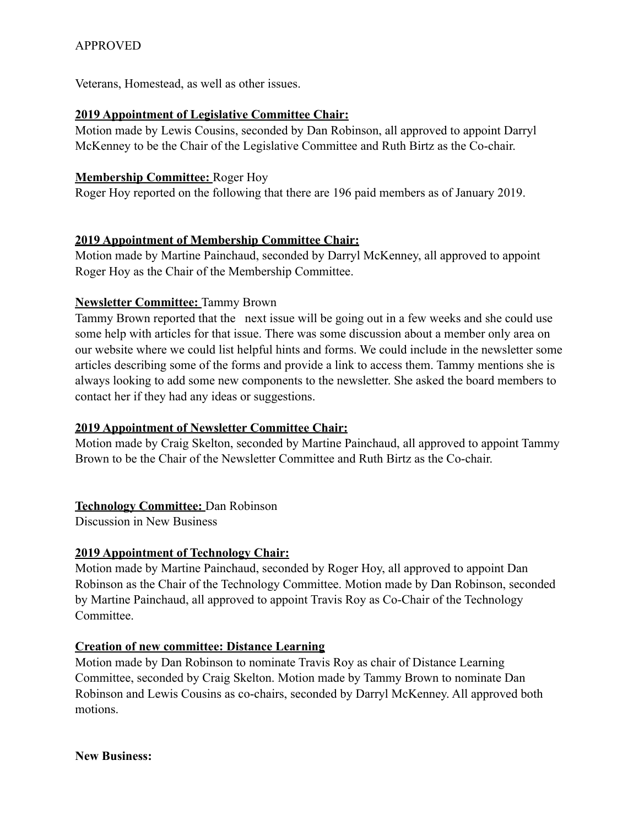## APPROVED

Veterans, Homestead, as well as other issues.

#### **2019 Appointment of Legislative Committee Chair:**

Motion made by Lewis Cousins, seconded by Dan Robinson, all approved to appoint Darryl McKenney to be the Chair of the Legislative Committee and Ruth Birtz as the Co-chair.

#### **Membership Committee:** Roger Hoy

Roger Hoy reported on the following that there are 196 paid members as of January 2019.

#### **2019 Appointment of Membership Committee Chair:**

Motion made by Martine Painchaud, seconded by Darryl McKenney, all approved to appoint Roger Hoy as the Chair of the Membership Committee.

### **Newsletter Committee:** Tammy Brown

Tammy Brown reported that the next issue will be going out in a few weeks and she could use some help with articles for that issue. There was some discussion about a member only area on our website where we could list helpful hints and forms. We could include in the newsletter some articles describing some of the forms and provide a link to access them. Tammy mentions she is always looking to add some new components to the newsletter. She asked the board members to contact her if they had any ideas or suggestions.

### **2019 Appointment of Newsletter Committee Chair:**

Motion made by Craig Skelton, seconded by Martine Painchaud, all approved to appoint Tammy Brown to be the Chair of the Newsletter Committee and Ruth Birtz as the Co-chair.

### **Technology Committee:** Dan Robinson

Discussion in New Business

### **2019 Appointment of Technology Chair:**

Motion made by Martine Painchaud, seconded by Roger Hoy, all approved to appoint Dan Robinson as the Chair of the Technology Committee. Motion made by Dan Robinson, seconded by Martine Painchaud, all approved to appoint Travis Roy as Co-Chair of the Technology Committee.

### **Creation of new committee: Distance Learning**

Motion made by Dan Robinson to nominate Travis Roy as chair of Distance Learning Committee, seconded by Craig Skelton. Motion made by Tammy Brown to nominate Dan Robinson and Lewis Cousins as co-chairs, seconded by Darryl McKenney. All approved both motions.